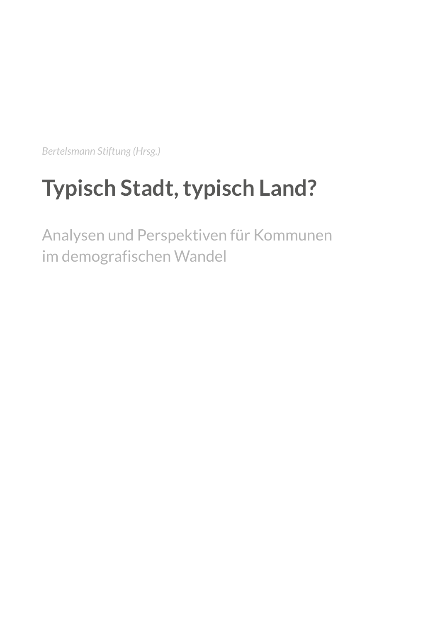*Bertelsmann Stiftung (Hrsg.)*

## **Typisch Stadt, typisch Land?**

Analysen und Perspektiven für Kommunen im demografischen Wandel